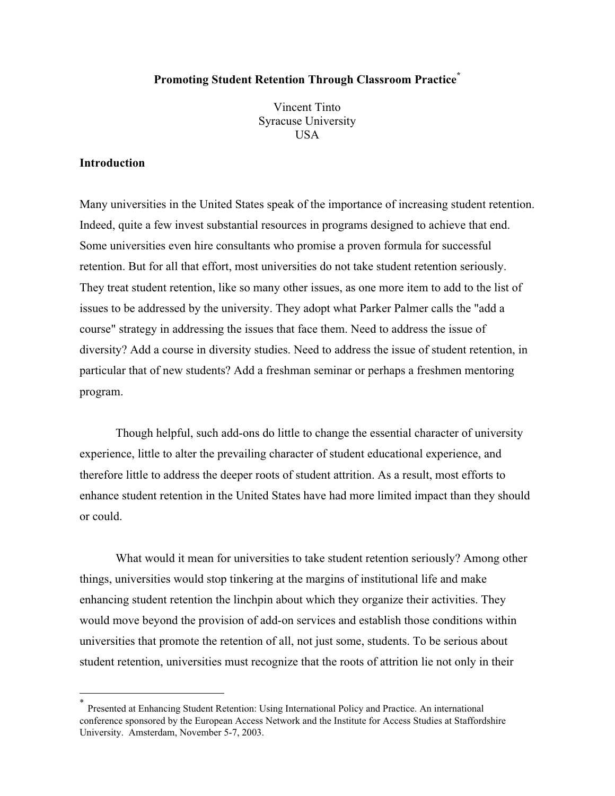# **Promoting Student Retention Through Classroom Practice\***

Vincent Tinto Syracuse University **USA** 

### **Introduction**

Many universities in the United States speak of the importance of increasing student retention. Indeed, quite a few invest substantial resources in programs designed to achieve that end. Some universities even hire consultants who promise a proven formula for successful retention. But for all that effort, most universities do not take student retention seriously. They treat student retention, like so many other issues, as one more item to add to the list of issues to be addressed by the university. They adopt what Parker Palmer calls the "add a course" strategy in addressing the issues that face them. Need to address the issue of diversity? Add a course in diversity studies. Need to address the issue of student retention, in particular that of new students? Add a freshman seminar or perhaps a freshmen mentoring program.

Though helpful, such add-ons do little to change the essential character of university experience, little to alter the prevailing character of student educational experience, and therefore little to address the deeper roots of student attrition. As a result, most efforts to enhance student retention in the United States have had more limited impact than they should or could.

What would it mean for universities to take student retention seriously? Among other things, universities would stop tinkering at the margins of institutional life and make enhancing student retention the linchpin about which they organize their activities. They would move beyond the provision of add-on services and establish those conditions within universities that promote the retention of all, not just some, students. To be serious about student retention, universities must recognize that the roots of attrition lie not only in their

 <sup>\*</sup> Presented at Enhancing Student Retention: Using International Policy and Practice. An international conference sponsored by the European Access Network and the Institute for Access Studies at Staffordshire University. Amsterdam, November 5-7, 2003.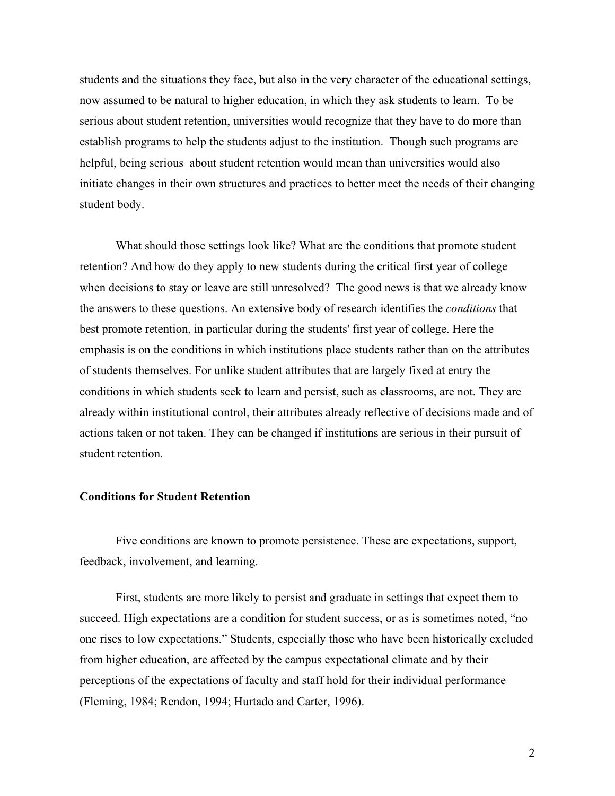students and the situations they face, but also in the very character of the educational settings, now assumed to be natural to higher education, in which they ask students to learn. To be serious about student retention, universities would recognize that they have to do more than establish programs to help the students adjust to the institution. Though such programs are helpful, being serious about student retention would mean than universities would also initiate changes in their own structures and practices to better meet the needs of their changing student body.

What should those settings look like? What are the conditions that promote student retention? And how do they apply to new students during the critical first year of college when decisions to stay or leave are still unresolved? The good news is that we already know the answers to these questions. An extensive body of research identifies the *conditions* that best promote retention, in particular during the students' first year of college. Here the emphasis is on the conditions in which institutions place students rather than on the attributes of students themselves. For unlike student attributes that are largely fixed at entry the conditions in which students seek to learn and persist, such as classrooms, are not. They are already within institutional control, their attributes already reflective of decisions made and of actions taken or not taken. They can be changed if institutions are serious in their pursuit of student retention.

#### **Conditions for Student Retention**

Five conditions are known to promote persistence. These are expectations, support, feedback, involvement, and learning.

First, students are more likely to persist and graduate in settings that expect them to succeed. High expectations are a condition for student success, or as is sometimes noted, "no one rises to low expectations." Students, especially those who have been historically excluded from higher education, are affected by the campus expectational climate and by their perceptions of the expectations of faculty and staff hold for their individual performance (Fleming, 1984; Rendon, 1994; Hurtado and Carter, 1996).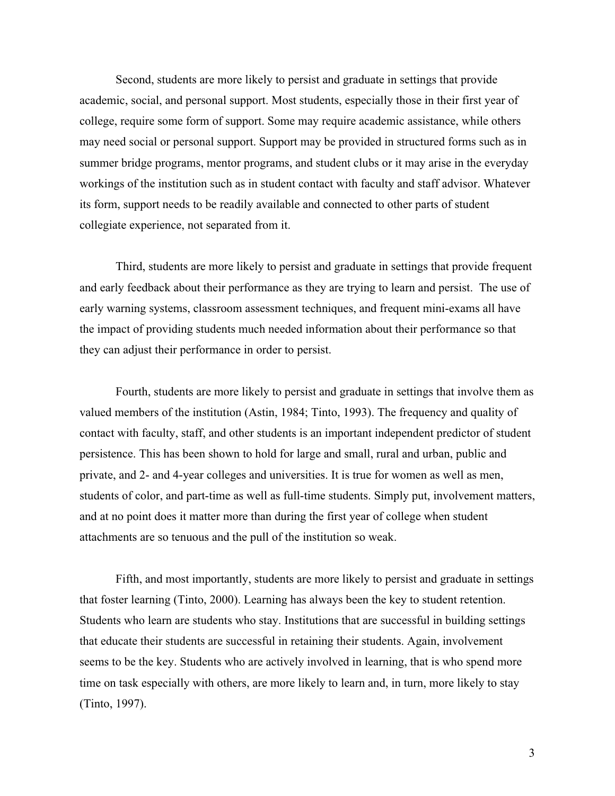Second, students are more likely to persist and graduate in settings that provide academic, social, and personal support. Most students, especially those in their first year of college, require some form of support. Some may require academic assistance, while others may need social or personal support. Support may be provided in structured forms such as in summer bridge programs, mentor programs, and student clubs or it may arise in the everyday workings of the institution such as in student contact with faculty and staff advisor. Whatever its form, support needs to be readily available and connected to other parts of student collegiate experience, not separated from it.

Third, students are more likely to persist and graduate in settings that provide frequent and early feedback about their performance as they are trying to learn and persist. The use of early warning systems, classroom assessment techniques, and frequent mini-exams all have the impact of providing students much needed information about their performance so that they can adjust their performance in order to persist.

Fourth, students are more likely to persist and graduate in settings that involve them as valued members of the institution (Astin, 1984; Tinto, 1993). The frequency and quality of contact with faculty, staff, and other students is an important independent predictor of student persistence. This has been shown to hold for large and small, rural and urban, public and private, and 2- and 4-year colleges and universities. It is true for women as well as men, students of color, and part-time as well as full-time students. Simply put, involvement matters, and at no point does it matter more than during the first year of college when student attachments are so tenuous and the pull of the institution so weak.

Fifth, and most importantly, students are more likely to persist and graduate in settings that foster learning (Tinto, 2000). Learning has always been the key to student retention. Students who learn are students who stay. Institutions that are successful in building settings that educate their students are successful in retaining their students. Again, involvement seems to be the key. Students who are actively involved in learning, that is who spend more time on task especially with others, are more likely to learn and, in turn, more likely to stay (Tinto, 1997).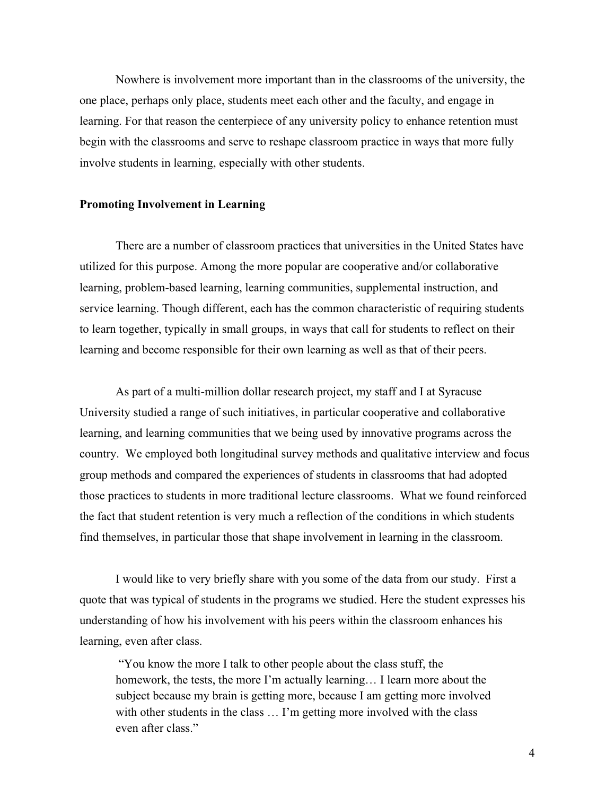Nowhere is involvement more important than in the classrooms of the university, the one place, perhaps only place, students meet each other and the faculty, and engage in learning. For that reason the centerpiece of any university policy to enhance retention must begin with the classrooms and serve to reshape classroom practice in ways that more fully involve students in learning, especially with other students.

#### **Promoting Involvement in Learning**

There are a number of classroom practices that universities in the United States have utilized for this purpose. Among the more popular are cooperative and/or collaborative learning, problem-based learning, learning communities, supplemental instruction, and service learning. Though different, each has the common characteristic of requiring students to learn together, typically in small groups, in ways that call for students to reflect on their learning and become responsible for their own learning as well as that of their peers.

As part of a multi-million dollar research project, my staff and I at Syracuse University studied a range of such initiatives, in particular cooperative and collaborative learning, and learning communities that we being used by innovative programs across the country. We employed both longitudinal survey methods and qualitative interview and focus group methods and compared the experiences of students in classrooms that had adopted those practices to students in more traditional lecture classrooms. What we found reinforced the fact that student retention is very much a reflection of the conditions in which students find themselves, in particular those that shape involvement in learning in the classroom.

I would like to very briefly share with you some of the data from our study. First a quote that was typical of students in the programs we studied. Here the student expresses his understanding of how his involvement with his peers within the classroom enhances his learning, even after class.

 "You know the more I talk to other people about the class stuff, the homework, the tests, the more I'm actually learning... I learn more about the subject because my brain is getting more, because I am getting more involved with other students in the class ... I'm getting more involved with the class even after class."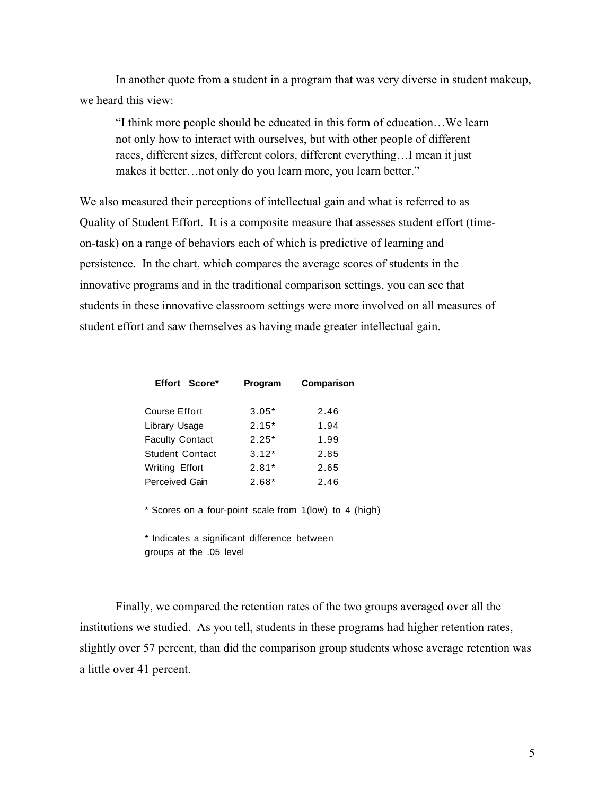In another quote from a student in a program that was very diverse in student makeup, we heard this view:

"I think more people should be educated in this form of education…We learn not only how to interact with ourselves, but with other people of different races, different sizes, different colors, different everything…I mean it just makes it better…not only do you learn more, you learn better."

We also measured their perceptions of intellectual gain and what is referred to as Quality of Student Effort. It is a composite measure that assesses student effort (timeon-task) on a range of behaviors each of which is predictive of learning and persistence. In the chart, which compares the average scores of students in the innovative programs and in the traditional comparison settings, you can see that students in these innovative classroom settings were more involved on all measures of student effort and saw themselves as having made greater intellectual gain.

| Effort Score*          | Program | Comparison |
|------------------------|---------|------------|
| <b>Course Effort</b>   | $3.05*$ | 2.46       |
| Library Usage          | $2.15*$ | 1.94       |
| <b>Faculty Contact</b> | $2.25*$ | 1.99       |
| <b>Student Contact</b> | $3.12*$ | 2.85       |
| <b>Writing Effort</b>  | $2.81*$ | 2.65       |
| <b>Perceived Gain</b>  | $2.68*$ | 2.46       |

\* Scores on a four-point scale from 1(low) to 4 (high)

\* Indicates a significant difference between groups at the .05 level

Finally, we compared the retention rates of the two groups averaged over all the institutions we studied. As you tell, students in these programs had higher retention rates, slightly over 57 percent, than did the comparison group students whose average retention was a little over 41 percent.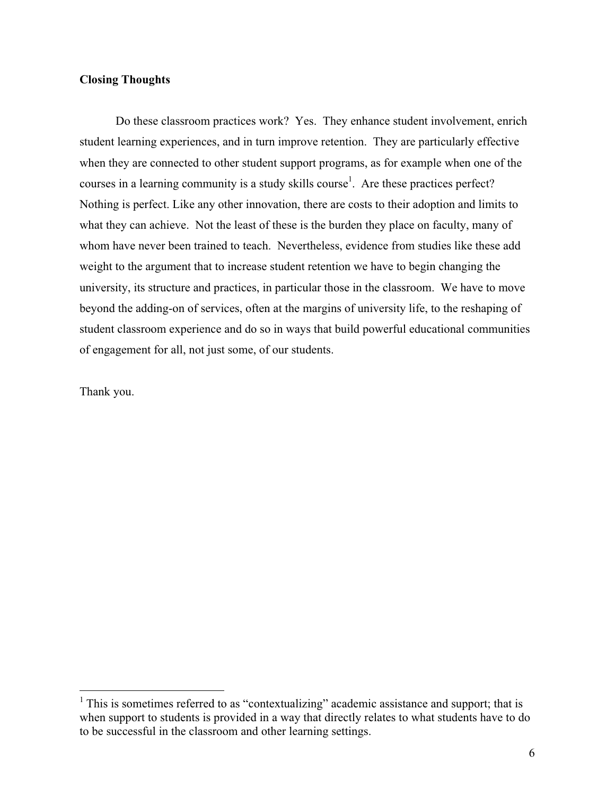## **Closing Thoughts**

Do these classroom practices work? Yes. They enhance student involvement, enrich student learning experiences, and in turn improve retention. They are particularly effective when they are connected to other student support programs, as for example when one of the courses in a learning community is a study skills course<sup>1</sup>. Are these practices perfect? Nothing is perfect. Like any other innovation, there are costs to their adoption and limits to what they can achieve. Not the least of these is the burden they place on faculty, many of whom have never been trained to teach. Nevertheless, evidence from studies like these add weight to the argument that to increase student retention we have to begin changing the university, its structure and practices, in particular those in the classroom. We have to move beyond the adding-on of services, often at the margins of university life, to the reshaping of student classroom experience and do so in ways that build powerful educational communities of engagement for all, not just some, of our students.

Thank you.

<sup>&</sup>lt;sup>1</sup> This is sometimes referred to as "contextualizing" academic assistance and support; that is when support to students is provided in a way that directly relates to what students have to do to be successful in the classroom and other learning settings.